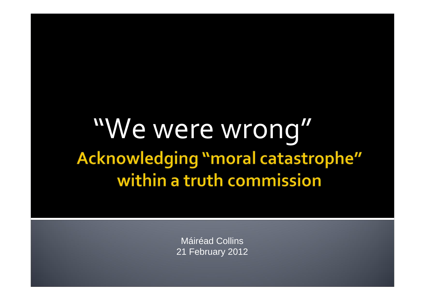## "We were wrong" Acknowledging "moral catastrophe" within a truth commission

Máiréad Collins 21 February 2012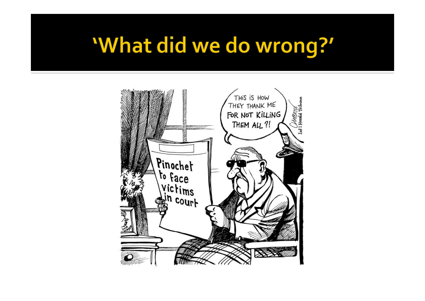## 'What did we do wrong?'

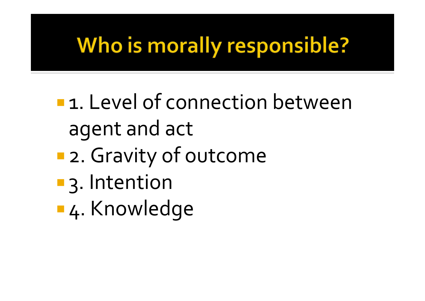## **Who is morally responsible?**

- **1.** Level of connection between agen<sup>t</sup> and act
- T. 2. Gravity of outcome
- **3. Intention**
- 4. Knowledge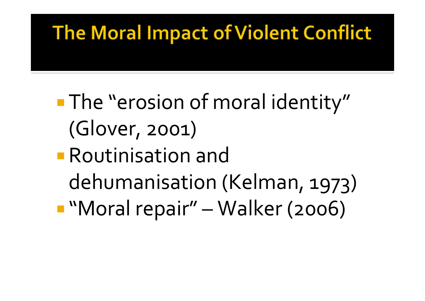#### The Moral Impact of Violent Conflict

## **The "erosion of moral identity"** (Glover, 2001)

## Routinisation anddehumanisation (Kelman, 1973) "Moral repair" – Walker (2006)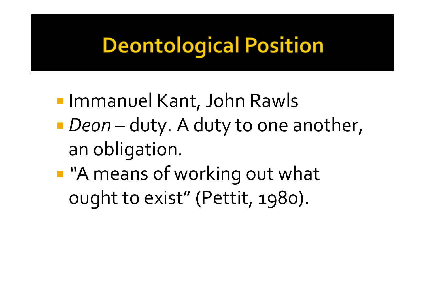# **Deontological Position**

- **Immanuel Kant, John Rawls**
- *Deon* duty. <sup>A</sup> duty to one another, ann obligation.
- *"*"A means of working out what ought to exist" (Pettit, 1980).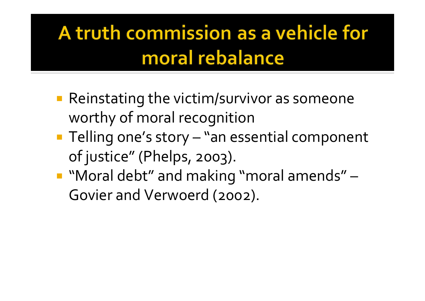### A truth commission as a vehicle for moral rebalance

- Reinstating the victim/survivor as someone worthy of moral recognition
- **Telling one's story "an essential component** of justice" (Phelps, 2003).
- " "Moral debt" and making "moral amends" -Govier and Verwoerd (2002).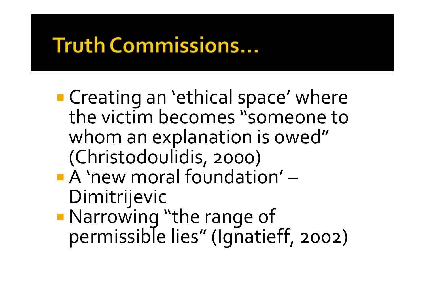## **Truth Commissions...**

- **Creating an 'ethical space' where** the victim becomes "someone to whom an explanation is owed" (Christodoulidis, 2000) A 'new moral foundation' Dimitrijevic
- Narrowing "the range of permissible lies" (Ignatieff, 2002)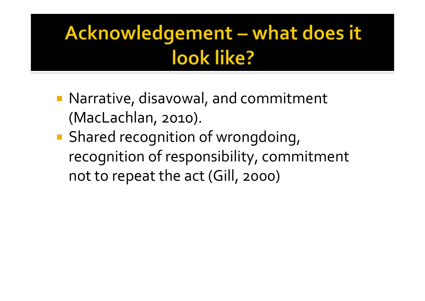### Acknowledgement - what does it look like?

- **Narrative, disavowal, and commitment** (MacLachlan, 2010).
- **Shared recognition of wrongdoing,** recognition of responsibility, commitment not to repea<sup>t</sup> the act (Gill, 2000)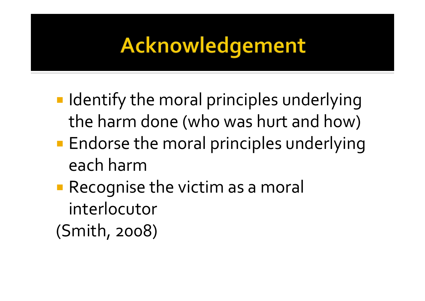## Acknowledgement

- **I** Identify the moral principles underlying the harm done (who was hurt and how)
- **Endorse the moral principles underlying** each harm
- **Recognise the victim as a moral** interlocutor

(Smith, 2008)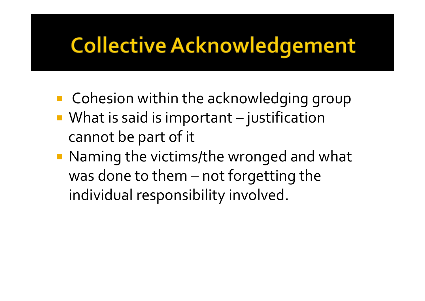## **Collective Acknowledgement**

- **E** Cohesion within the acknowledging group
- **What is said is important** – $-$  justification cannot be par<sup>t</sup> of it
- Naming the victims/the wronged and what was done to them – no <sup>t</sup> forgetting the individual responsibility involved.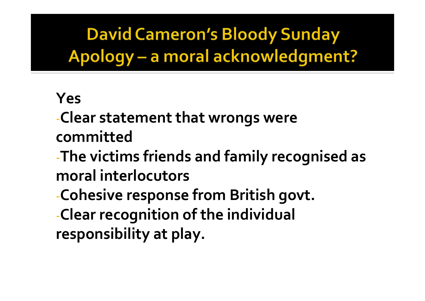**David Cameron's Bloody Sunday** Apology - a moral acknowledgment?

#### Yes

-Clear statement that wrongs were committed

-The victims friends and family recognised as moral interlocutors

-Cohesive response from British govt.

-Clear recognition of the individual responsibility at play.